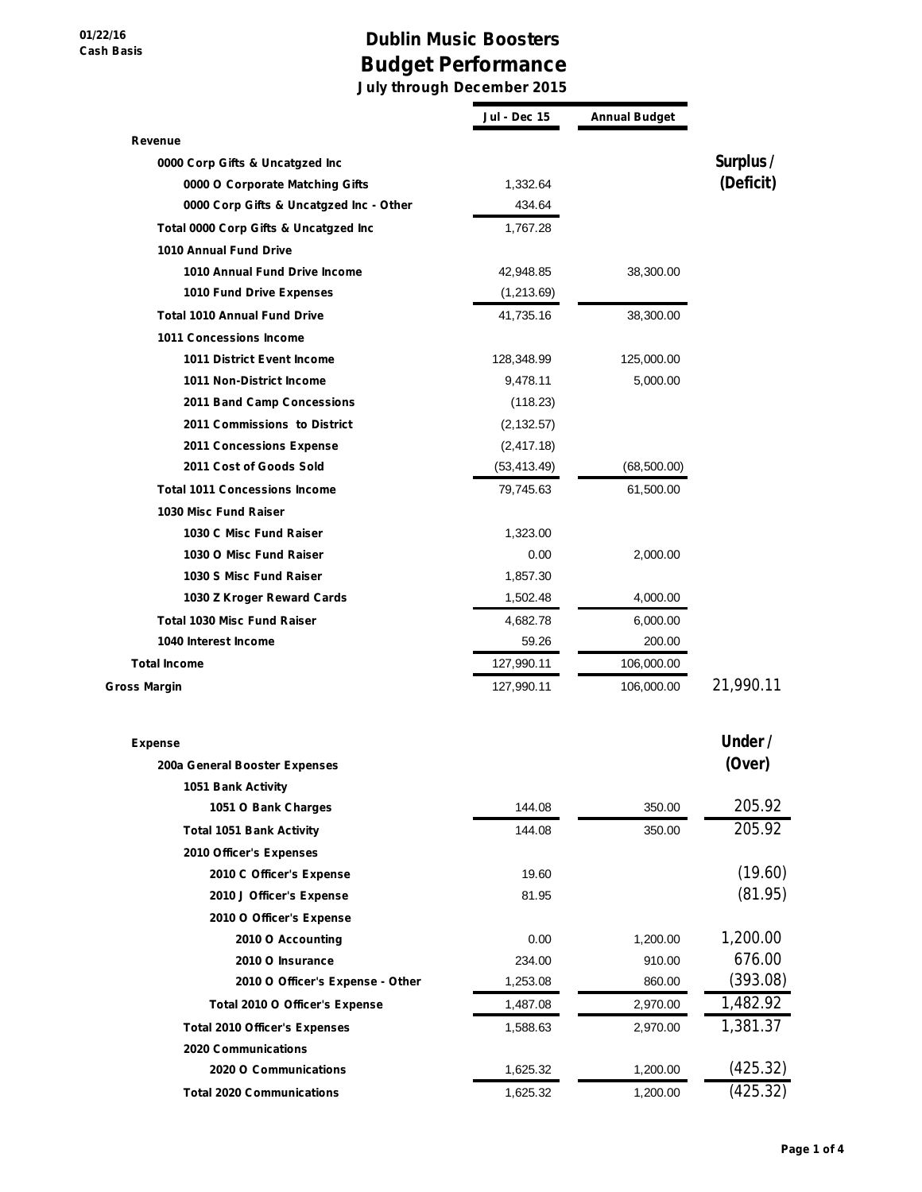## **Dublin Music Boosters Budget Performance**

**July through December 2015**

|                                         | Jul - Dec 15 | <b>Annual Budget</b> |           |
|-----------------------------------------|--------------|----------------------|-----------|
| Revenue                                 |              |                      |           |
| 0000 Corp Gifts & Uncatgzed Inc         |              |                      | Surplus / |
| 0000 O Corporate Matching Gifts         | 1,332.64     |                      | (Deficit) |
| 0000 Corp Gifts & Uncatgzed Inc - Other | 434.64       |                      |           |
| Total 0000 Corp Gifts & Uncatgzed Inc   | 1,767.28     |                      |           |
| 1010 Annual Fund Drive                  |              |                      |           |
| 1010 Annual Fund Drive Income           | 42,948.85    | 38,300.00            |           |
| 1010 Fund Drive Expenses                | (1,213.69)   |                      |           |
| <b>Total 1010 Annual Fund Drive</b>     | 41,735.16    | 38,300.00            |           |
| 1011 Concessions Income                 |              |                      |           |
| <b>1011 District Event Income</b>       | 128,348.99   | 125,000.00           |           |
| 1011 Non-District Income                | 9,478.11     | 5,000.00             |           |
| 2011 Band Camp Concessions              | (118.23)     |                      |           |
| 2011 Commissions to District            | (2, 132.57)  |                      |           |
| 2011 Concessions Expense                | (2, 417.18)  |                      |           |
| 2011 Cost of Goods Sold                 | (53, 413.49) | (68, 500.00)         |           |
| <b>Total 1011 Concessions Income</b>    | 79,745.63    | 61,500.00            |           |
| 1030 Misc Fund Raiser                   |              |                      |           |
| 1030 C Misc Fund Raiser                 | 1,323.00     |                      |           |
| 1030 O Misc Fund Raiser                 | 0.00         | 2,000.00             |           |
| 1030 S Misc Fund Raiser                 | 1,857.30     |                      |           |
| 1030 Z Kroger Reward Cards              | 1,502.48     | 4,000.00             |           |
| <b>Total 1030 Misc Fund Raiser</b>      | 4,682.78     | 6,000.00             |           |
| 1040 Interest Income                    | 59.26        | 200.00               |           |
| <b>Total Income</b>                     | 127,990.11   | 106,000.00           |           |
| <b>Gross Margin</b>                     | 127,990.11   | 106,000.00           | 21,990.11 |
| <b>Expense</b>                          |              |                      | Under /   |
| 200a General Booster Expenses           |              |                      | (Over)    |
| 1051 Bank Activity                      |              |                      |           |
| 1051 O Bank Charges                     | 144.08       | 350.00               | 205.92    |
| <b>Total 1051 Bank Activity</b>         | 144.08       | 350.00               | 205.92    |
| 2010 Officer's Expenses                 |              |                      |           |
| 2010 C Officer's Expense                | 19.60        |                      | (19.60)   |
| 2010 J Officer's Expense                | 81.95        |                      | (81.95)   |
| 2010 O Officer's Expense                |              |                      |           |
| 2010 O Accounting                       | 0.00         | 1,200.00             | 1,200.00  |
| 2010 O Insurance                        | 234.00       | 910.00               | 676.00    |
| 2010 O Officer's Expense - Other        | 1,253.08     | 860.00               | (393.08)  |
| Total 2010 O Officer's Expense          | 1,487.08     | 2,970.00             | 1,482.92  |
| <b>Total 2010 Officer's Expenses</b>    | 1,588.63     | 2,970.00             | 1,381.37  |
| 2020 Communications                     |              |                      |           |
| 2020 O Communications                   | 1,625.32     | 1,200.00             | (425.32)  |
| <b>Total 2020 Communications</b>        | 1,625.32     | 1,200.00             | (425.32)  |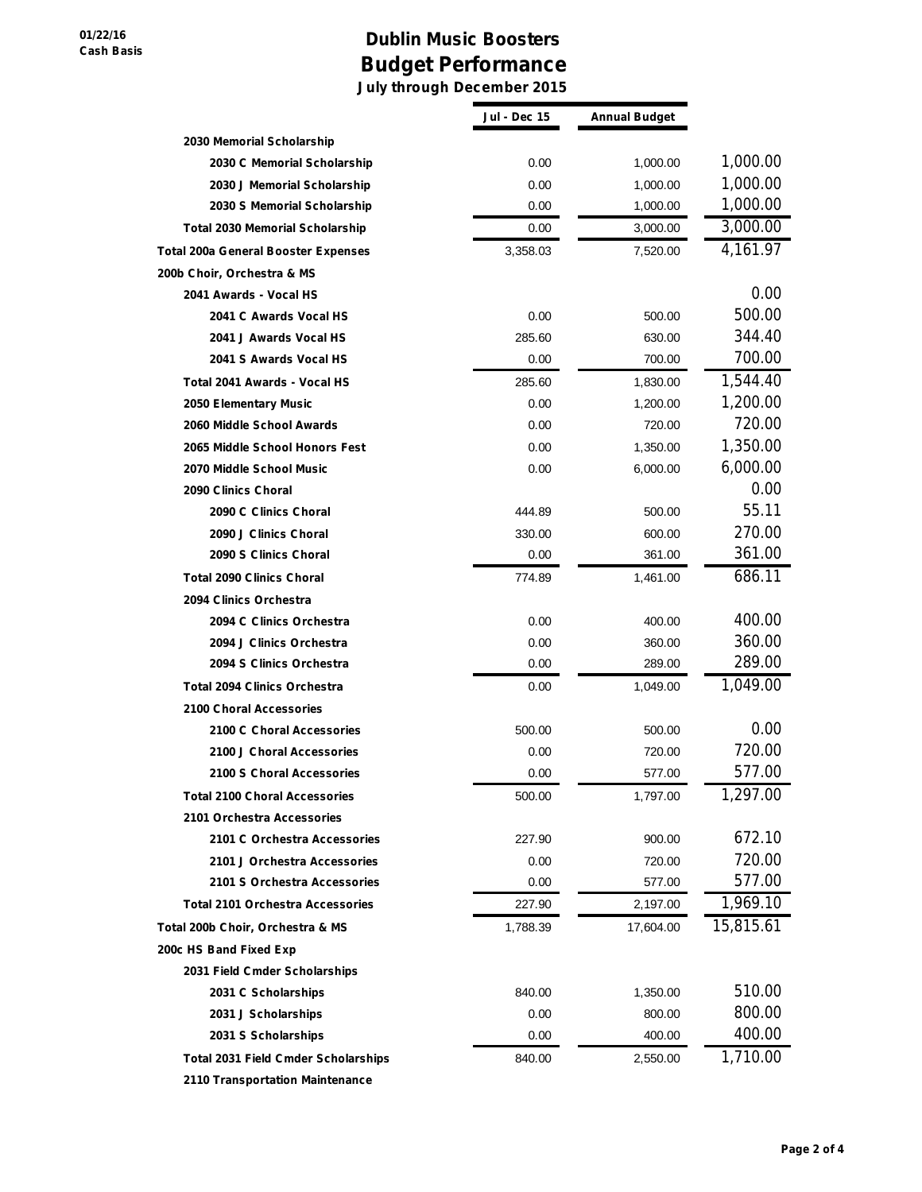## **Dublin Music Boosters Budget Performance**

**July through December 2015**

|                                            | <b>Jul - Dec 15</b> | <b>Annual Budget</b> |           |
|--------------------------------------------|---------------------|----------------------|-----------|
| 2030 Memorial Scholarship                  |                     |                      |           |
| 2030 C Memorial Scholarship                | 0.00                | 1,000.00             | 1,000.00  |
| 2030 J Memorial Scholarship                | 0.00                | 1,000.00             | 1,000.00  |
| 2030 S Memorial Scholarship                | 0.00                | 1,000.00             | 1,000.00  |
| <b>Total 2030 Memorial Scholarship</b>     | 0.00                | 3,000.00             | 3,000.00  |
| <b>Total 200a General Booster Expenses</b> | 3,358.03            | 7,520.00             | 4,161.97  |
| 200b Choir, Orchestra & MS                 |                     |                      |           |
| 2041 Awards - Vocal HS                     |                     |                      | 0.00      |
| 2041 C Awards Vocal HS                     | 0.00                | 500.00               | 500.00    |
| 2041 J Awards Vocal HS                     | 285.60              | 630.00               | 344.40    |
| 2041 S Awards Vocal HS                     | 0.00                | 700.00               | 700.00    |
| Total 2041 Awards - Vocal HS               | 285.60              | 1,830.00             | 1,544.40  |
| 2050 Elementary Music                      | 0.00                | 1,200.00             | 1,200.00  |
| 2060 Middle School Awards                  | 0.00                | 720.00               | 720.00    |
| 2065 Middle School Honors Fest             | 0.00                | 1,350.00             | 1,350.00  |
| 2070 Middle School Music                   | 0.00                | 6,000.00             | 6,000.00  |
| 2090 Clinics Choral                        |                     |                      | 0.00      |
| 2090 C Clinics Choral                      | 444.89              | 500.00               | 55.11     |
| 2090 J Clinics Choral                      | 330.00              | 600.00               | 270.00    |
| 2090 S Clinics Choral                      | 0.00                | 361.00               | 361.00    |
| <b>Total 2090 Clinics Choral</b>           | 774.89              | 1,461.00             | 686.11    |
| 2094 Clinics Orchestra                     |                     |                      |           |
| 2094 C Clinics Orchestra                   | 0.00                | 400.00               | 400.00    |
| 2094 J Clinics Orchestra                   | 0.00                | 360.00               | 360.00    |
| 2094 S Clinics Orchestra                   | 0.00                | 289.00               | 289.00    |
| <b>Total 2094 Clinics Orchestra</b>        | 0.00                | 1,049.00             | 1,049.00  |
| 2100 Choral Accessories                    |                     |                      |           |
| 2100 C Choral Accessories                  | 500.00              | 500.00               | 0.00      |
| 2100 J Choral Accessories                  | 0.00                | 720.00               | 720.00    |
| 2100 S Choral Accessories                  | 0.00                | 577.00               | 577.00    |
| <b>Total 2100 Choral Accessories</b>       | 500.00              | 1,797.00             | 1,297.00  |
| 2101 Orchestra Accessories                 |                     |                      |           |
| 2101 C Orchestra Accessories               | 227.90              | 900.00               | 672.10    |
| 2101 J Orchestra Accessories               | 0.00                | 720.00               | 720.00    |
| 2101 S Orchestra Accessories               | 0.00                | 577.00               | 577.00    |
| <b>Total 2101 Orchestra Accessories</b>    | 227.90              | 2,197.00             | 1,969.10  |
| Total 200b Choir, Orchestra & MS           | 1,788.39            | 17,604.00            | 15,815.61 |
| 200c HS Band Fixed Exp                     |                     |                      |           |
| 2031 Field Cmder Scholarships              |                     |                      |           |
| 2031 C Scholarships                        | 840.00              | 1,350.00             | 510.00    |
| 2031 J Scholarships                        | 0.00                | 800.00               | 800.00    |
| 2031 S Scholarships                        | 0.00                | 400.00               | 400.00    |
| <b>Total 2031 Field Cmder Scholarships</b> | 840.00              | 2,550.00             | 1,710.00  |
| 2110 Transportation Maintenance            |                     |                      |           |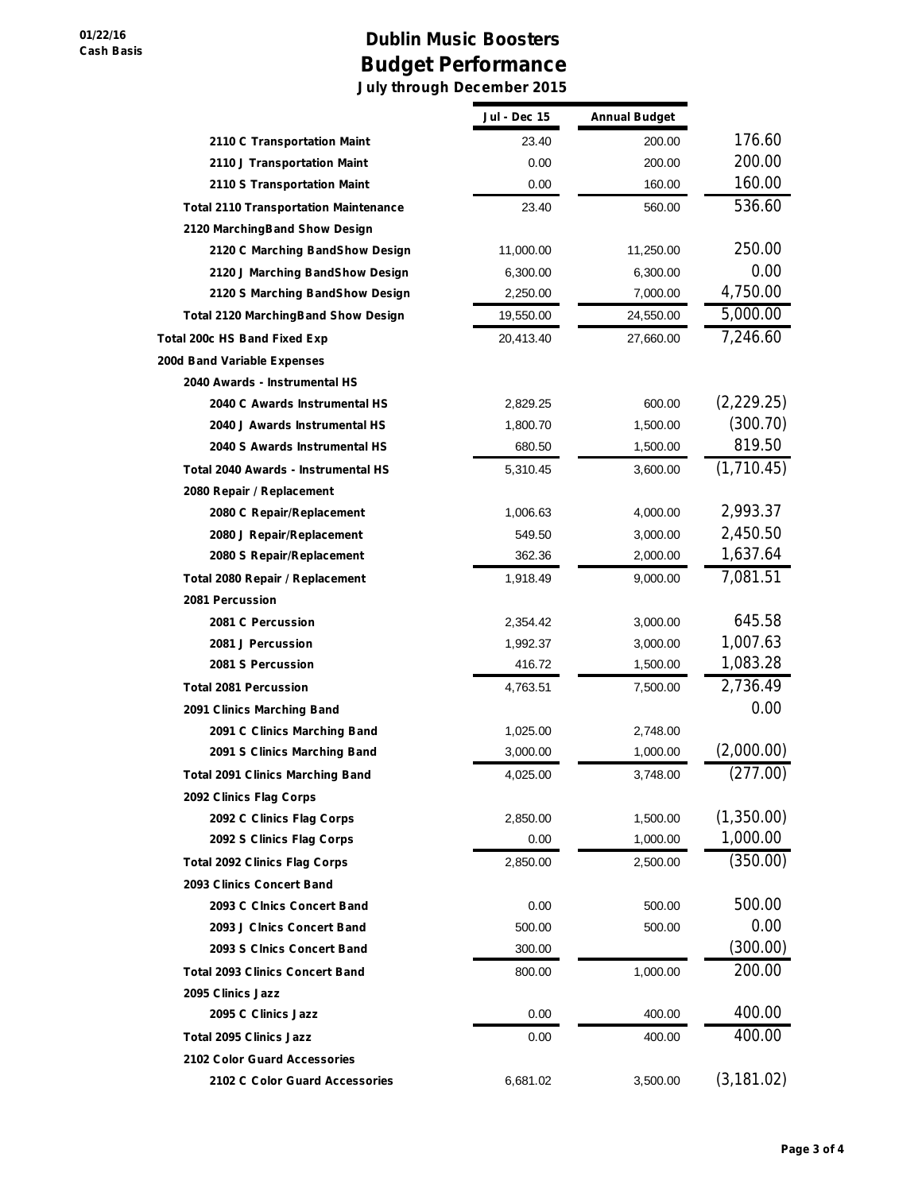## **Dublin Music Boosters Budget Performance July through December 2015**

|                                              | Jul - Dec 15 | <b>Annual Budget</b> |             |
|----------------------------------------------|--------------|----------------------|-------------|
| 2110 C Transportation Maint                  | 23.40        | 200.00               | 176.60      |
| 2110 J Transportation Maint                  | 0.00         | 200.00               | 200.00      |
| 2110 S Transportation Maint                  | 0.00         | 160.00               | 160.00      |
| <b>Total 2110 Transportation Maintenance</b> | 23.40        | 560.00               | 536.60      |
| 2120 MarchingBand Show Design                |              |                      |             |
| 2120 C Marching BandShow Design              | 11,000.00    | 11,250.00            | 250.00      |
| 2120 J Marching BandShow Design              | 6,300.00     | 6,300.00             | 0.00        |
| 2120 S Marching BandShow Design              | 2,250.00     | 7,000.00             | 4,750.00    |
| <b>Total 2120 MarchingBand Show Design</b>   | 19,550.00    | 24,550.00            | 5,000.00    |
| Total 200c HS Band Fixed Exp                 | 20,413.40    | 27,660.00            | 7,246.60    |
| 200d Band Variable Expenses                  |              |                      |             |
| 2040 Awards - Instrumental HS                |              |                      |             |
| 2040 C Awards Instrumental HS                | 2,829.25     | 600.00               | (2, 229.25) |
| 2040 J Awards Instrumental HS                | 1,800.70     | 1,500.00             | (300.70)    |
| 2040 S Awards Instrumental HS                | 680.50       | 1,500.00             | 819.50      |
| Total 2040 Awards - Instrumental HS          | 5,310.45     | 3,600.00             | (1,710.45)  |
| 2080 Repair / Replacement                    |              |                      |             |
| 2080 C Repair/Replacement                    | 1,006.63     | 4,000.00             | 2,993.37    |
| 2080 J Repair/Replacement                    | 549.50       | 3,000.00             | 2,450.50    |
| 2080 S Repair/Replacement                    | 362.36       | 2,000.00             | 1,637.64    |
| Total 2080 Repair / Replacement              | 1,918.49     | 9,000.00             | 7,081.51    |
| 2081 Percussion                              |              |                      |             |
| 2081 C Percussion                            | 2,354.42     | 3,000.00             | 645.58      |
| 2081 J Percussion                            | 1,992.37     | 3,000.00             | 1,007.63    |
| 2081 S Percussion                            | 416.72       | 1,500.00             | 1,083.28    |
| <b>Total 2081 Percussion</b>                 | 4,763.51     | 7,500.00             | 2,736.49    |
| 2091 Clinics Marching Band                   |              |                      | 0.00        |
| 2091 C Clinics Marching Band                 | 1,025.00     | 2,748.00             |             |
| 2091 S Clinics Marching Band                 | 3,000.00     | 1,000.00             | (2,000.00)  |
| <b>Total 2091 Clinics Marching Band</b>      | 4,025.00     | 3,748.00             | (277.00)    |
| 2092 Clinics Flag Corps                      |              |                      |             |
| 2092 C Clinics Flag Corps                    | 2,850.00     | 1,500.00             | (1,350.00)  |
| 2092 S Clinics Flag Corps                    | 0.00         | 1,000.00             | 1,000.00    |
| <b>Total 2092 Clinics Flag Corps</b>         | 2,850.00     | 2,500.00             | (350.00)    |
| 2093 Clinics Concert Band                    |              |                      |             |
| 2093 C Cinics Concert Band                   | 0.00         | 500.00               | 500.00      |
| 2093 J Cinics Concert Band                   | 500.00       | 500.00               | 0.00        |
| 2093 S Cinics Concert Band                   | 300.00       |                      | (300.00)    |
| <b>Total 2093 Clinics Concert Band</b>       | 800.00       | 1,000.00             | 200.00      |
| 2095 Clinics Jazz                            |              |                      |             |
| 2095 C Clinics Jazz                          | 0.00         | 400.00               | 400.00      |
| <b>Total 2095 Clinics Jazz</b>               | 0.00         | 400.00               | 400.00      |
| 2102 Color Guard Accessories                 |              |                      |             |
| 2102 C Color Guard Accessories               | 6,681.02     | 3,500.00             | (3, 181.02) |